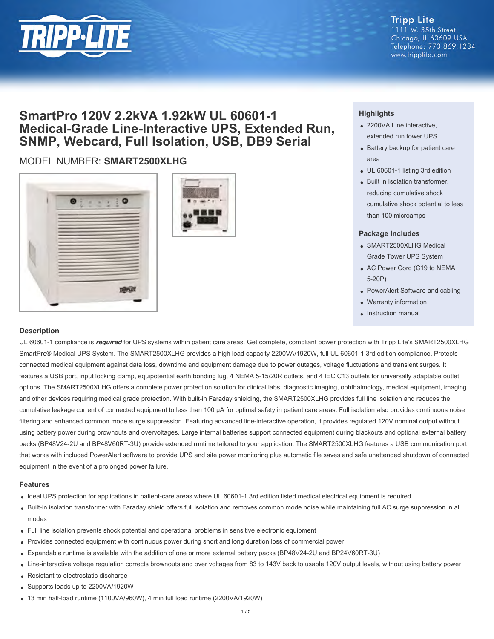

## **Tripp Lite**

1111 W. 35th Street Chicago, IL 60609 USA Telephone: 773.869.1234 www.tripplite.com

## **SmartPro 120V 2.2kVA 1.92kW UL 60601-1 Medical-Grade Line-Interactive UPS, Extended Run, SNMP, Webcard, Full Isolation, USB, DB9 Serial**

### MODEL NUMBER: **SMART2500XLHG**





#### **Highlights**

- 2200VA Line interactive, extended run tower UPS
- Battery backup for patient care area
- UL 60601-1 listing 3rd edition
- Built in Isolation transformer. reducing cumulative shock cumulative shock potential to less than 100 microamps

#### **Package Includes**

- SMART2500XLHG Medical Grade Tower UPS System
- AC Power Cord (C19 to NEMA 5-20P)
- PowerAlert Software and cabling
- Warranty information
- Instruction manual

#### **Description**

UL 60601-1 compliance is *required* for UPS systems within patient care areas. Get complete, compliant power protection with Tripp Lite's SMART2500XLHG SmartPro® Medical UPS System. The SMART2500XLHG provides a high load capacity 2200VA/1920W, full UL 60601-1 3rd edition compliance. Protects connected medical equipment against data loss, downtime and equipment damage due to power outages, voltage fluctuations and transient surges. It features a USB port, input locking clamp, equipotential earth bonding lug, 4 NEMA 5-15/20R outlets, and 4 IEC C13 outlets for universally adaptable outlet options. The SMART2500XLHG offers a complete power protection solution for clinical labs, diagnostic imaging, ophthalmology, medical equipment, imaging and other devices requiring medical grade protection. With built-in Faraday shielding, the SMART2500XLHG provides full line isolation and reduces the cumulative leakage current of connected equipment to less than 100 μA for optimal safety in patient care areas. Full isolation also provides continuous noise filtering and enhanced common mode surge suppression. Featuring advanced line-interactive operation, it provides regulated 120V nominal output without using battery power during brownouts and overvoltages. Large internal batteries support connected equipment during blackouts and optional external battery packs (BP48V24-2U and BP48V60RT-3U) provide extended runtime tailored to your application. The SMART2500XLHG features a USB communication port that works with included PowerAlert software to provide UPS and site power monitoring plus automatic file saves and safe unattended shutdown of connected equipment in the event of a prolonged power failure.

#### **Features**

- Ideal UPS protection for applications in patient-care areas where UL 60601-1 3rd edition listed medical electrical equipment is required
- Built-in isolation transformer with Faraday shield offers full isolation and removes common mode noise while maintaining full AC surge suppression in all modes
- Full line isolation prevents shock potential and operational problems in sensitive electronic equipment
- Provides connected equipment with continuous power during short and long duration loss of commercial power
- Expandable runtime is available with the addition of one or more external battery packs (BP48V24-2U and BP24V60RT-3U)
- Line-interactive voltage regulation corrects brownouts and over voltages from 83 to 143V back to usable 120V output levels, without using battery power
- Resistant to electrostatic discharge
- Supports loads up to 2200VA/1920W
- 13 min half-load runtime (1100VA/960W), 4 min full load runtime (2200VA/1920W)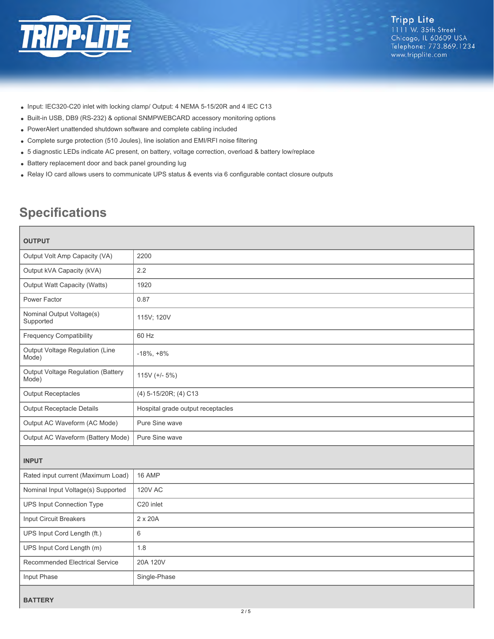

- Input: IEC320-C20 inlet with locking clamp/ Output: 4 NEMA 5-15/20R and 4 IEC C13
- Built-in USB, DB9 (RS-232) & optional SNMPWEBCARD accessory monitoring options
- PowerAlert unattended shutdown software and complete cabling included
- Complete surge protection (510 Joules), line isolation and EMI/RFI noise filtering
- 5 diagnostic LEDs indicate AC present, on battery, voltage correction, overload & battery low/replace
- Battery replacement door and back panel grounding lug
- Relay IO card allows users to communicate UPS status & events via 6 configurable contact closure outputs

# **Specifications**

| <b>OUTPUT</b>                               |                                   |  |
|---------------------------------------------|-----------------------------------|--|
| Output Volt Amp Capacity (VA)               | 2200                              |  |
| Output kVA Capacity (kVA)                   | 2.2                               |  |
| Output Watt Capacity (Watts)                | 1920                              |  |
| Power Factor                                | 0.87                              |  |
| Nominal Output Voltage(s)<br>Supported      | 115V; 120V                        |  |
| <b>Frequency Compatibility</b>              | 60 Hz                             |  |
| Output Voltage Regulation (Line<br>Mode)    | $-18\%, +8\%$                     |  |
| Output Voltage Regulation (Battery<br>Mode) | 115V $(+/- 5%)$                   |  |
| <b>Output Receptacles</b>                   | (4) 5-15/20R; (4) C13             |  |
| <b>Output Receptacle Details</b>            | Hospital grade output receptacles |  |
| Output AC Waveform (AC Mode)                | Pure Sine wave                    |  |
| Output AC Waveform (Battery Mode)           | Pure Sine wave                    |  |
| <b>INPUT</b>                                |                                   |  |
| Rated input current (Maximum Load)          | 16 AMP                            |  |
| Nominal Input Voltage(s) Supported          | <b>120V AC</b>                    |  |
| <b>UPS Input Connection Type</b>            | C <sub>20</sub> inlet             |  |
| Input Circuit Breakers                      | 2 x 20A                           |  |
| UPS Input Cord Length (ft.)                 | 6                                 |  |
| UPS Input Cord Length (m)                   | 1.8                               |  |
| <b>Recommended Electrical Service</b>       | 20A 120V                          |  |
| Input Phase                                 | Single-Phase                      |  |
|                                             |                                   |  |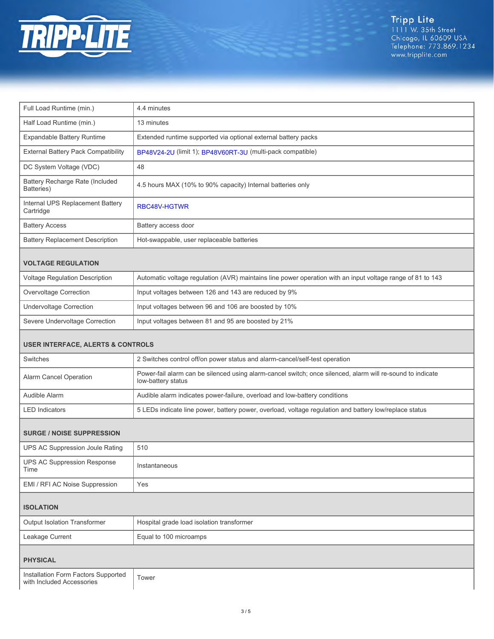

Tripp Lite<br>1111 W. 35th Street<br>Chicago, IL 60609 USA<br>Telephone: 773.869.1234<br>www.tripplite.com

| Extended runtime supported via optional external battery packs                                             |  |  |
|------------------------------------------------------------------------------------------------------------|--|--|
| BP48V24-2U (limit 1); BP48V60RT-3U (multi-pack compatible)                                                 |  |  |
|                                                                                                            |  |  |
| 4.5 hours MAX (10% to 90% capacity) Internal batteries only                                                |  |  |
| RBC48V-HGTWR                                                                                               |  |  |
| Battery access door                                                                                        |  |  |
| Hot-swappable, user replaceable batteries                                                                  |  |  |
| <b>VOLTAGE REGULATION</b>                                                                                  |  |  |
| Automatic voltage regulation (AVR) maintains line power operation with an input voltage range of 81 to 143 |  |  |
| Input voltages between 126 and 143 are reduced by 9%                                                       |  |  |
| Input voltages between 96 and 106 are boosted by 10%                                                       |  |  |
| Input voltages between 81 and 95 are boosted by 21%                                                        |  |  |
| <b>USER INTERFACE, ALERTS &amp; CONTROLS</b>                                                               |  |  |
| 2 Switches control off/on power status and alarm-cancel/self-test operation                                |  |  |
| Power-fail alarm can be silenced using alarm-cancel switch; once silenced, alarm will re-sound to indicate |  |  |
| Audible alarm indicates power-failure, overload and low-battery conditions                                 |  |  |
| 5 LEDs indicate line power, battery power, overload, voltage regulation and battery low/replace status     |  |  |
| <b>SURGE / NOISE SUPPRESSION</b>                                                                           |  |  |
|                                                                                                            |  |  |
|                                                                                                            |  |  |
|                                                                                                            |  |  |
|                                                                                                            |  |  |
|                                                                                                            |  |  |
|                                                                                                            |  |  |

| Leakage Current | Equal to 100 microamps |
|-----------------|------------------------|
| <b>PHYSICAL</b> |                        |

Installation Form Factors Supported | Tower<br>with Included Accessories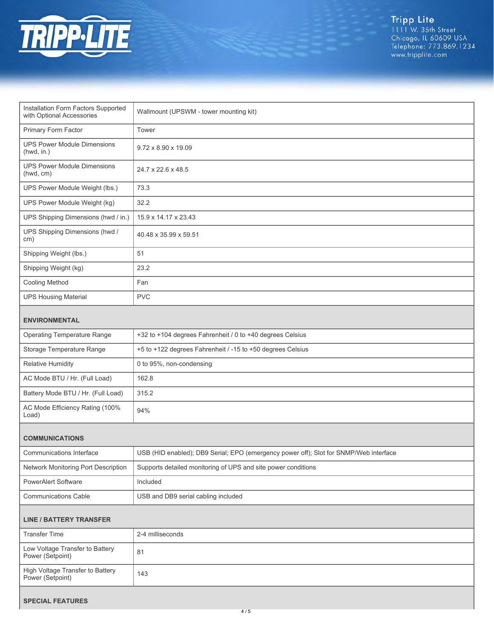

| Installation Form Factors Supported<br>with Optional Accessories | Wallmount (UPSWM - tower mounting kit)                                                |  |
|------------------------------------------------------------------|---------------------------------------------------------------------------------------|--|
| Primary Form Factor                                              | Tower                                                                                 |  |
| <b>UPS Power Module Dimensions</b><br>(hwd, in.)                 | 9.72 x 8.90 x 19.09                                                                   |  |
| <b>UPS Power Module Dimensions</b><br>(hwd, cm)                  | 24.7 x 22.6 x 48.5                                                                    |  |
| UPS Power Module Weight (lbs.)                                   | 73.3                                                                                  |  |
| UPS Power Module Weight (kg)                                     | 32.2                                                                                  |  |
| UPS Shipping Dimensions (hwd / in.)                              | 15.9 x 14.17 x 23.43                                                                  |  |
| UPS Shipping Dimensions (hwd /<br>cm)                            | 40.48 x 35.99 x 59.51                                                                 |  |
| Shipping Weight (lbs.)                                           | 51                                                                                    |  |
| Shipping Weight (kg)                                             | 23.2                                                                                  |  |
| <b>Cooling Method</b>                                            | Fan                                                                                   |  |
| <b>UPS Housing Material</b>                                      | <b>PVC</b>                                                                            |  |
| <b>ENVIRONMENTAL</b>                                             |                                                                                       |  |
| <b>Operating Temperature Range</b>                               | +32 to +104 degrees Fahrenheit / 0 to +40 degrees Celsius                             |  |
| Storage Temperature Range                                        | +5 to +122 degrees Fahrenheit / -15 to +50 degrees Celsius                            |  |
| <b>Relative Humidity</b>                                         | 0 to 95%, non-condensing                                                              |  |
| AC Mode BTU / Hr. (Full Load)                                    | 162.8                                                                                 |  |
| Battery Mode BTU / Hr. (Full Load)                               | 315.2                                                                                 |  |
| AC Mode Efficiency Rating (100%<br>Load)                         | 94%                                                                                   |  |
|                                                                  |                                                                                       |  |
| <b>COMMUNICATIONS</b><br>Communications Interface                | USB (HID enabled); DB9 Serial; EPO (emergency power off); Slot for SNMP/Web interface |  |
| Network Monitoring Port Description                              | Supports detailed monitoring of UPS and site power conditions                         |  |
| PowerAlert Software                                              | Included                                                                              |  |
| <b>Communications Cable</b>                                      | USB and DB9 serial cabling included                                                   |  |
|                                                                  |                                                                                       |  |
| <b>LINE / BATTERY TRANSFER</b>                                   |                                                                                       |  |
| <b>Transfer Time</b>                                             | 2-4 milliseconds                                                                      |  |
| Low Voltage Transfer to Battery<br>Power (Setpoint)              | 81                                                                                    |  |
| High Voltage Transfer to Battery<br>Power (Setpoint)             | 143                                                                                   |  |
|                                                                  |                                                                                       |  |